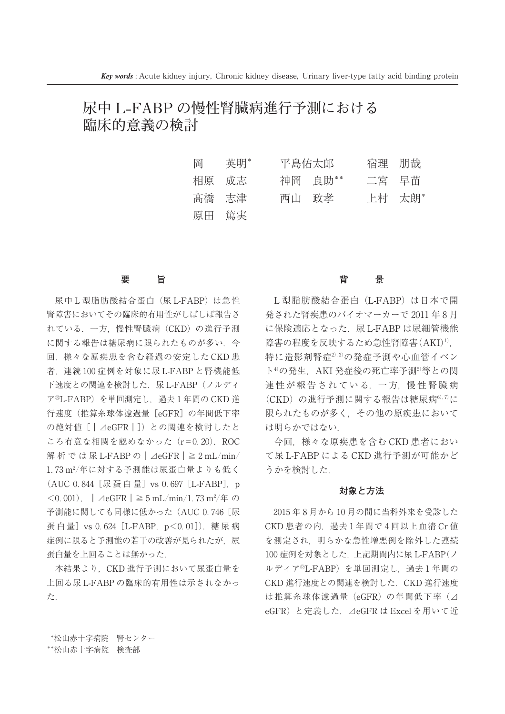# **尿中 L-FABP の慢性腎臓病進行予測における 臨床的意義の検討**

| 岡     | 英明*   | 平島佑太郎 |         | 宿理 朋哉 |        |
|-------|-------|-------|---------|-------|--------|
| 相原 成志 |       |       | 神岡 良助** | 二宮 早苗 |        |
| 髙橋 志津 |       |       | 西山 政孝   |       | 上村 太朗* |
|       | 原田 篤実 |       |         |       |        |

### **要 旨**

尿中L型脂肪酸結合蛋白(尿L-FABP)は急性 腎障害においてその臨床的有用性がしばしば報告されている.一方,慢性腎臓病(CKD)の進行予測 に関する報告は糖尿病に限られたものが多い. 今 回,様々な原疾患を含む経過の安定した CKD 患 者,連続100症例を対象に尿 L-FABP と腎機能低 下速度との関連を検討した. 尿 L-FABP (ノルディ アⓇL-FABP)を単回測定し,過去1年間の CKD 進 行速度(推算糸球体濾過量[eGFR]の年間低下率 の絶対値 [ | △eGFR | ]) との関連を検討したと ころ有意な相関を認めなかった(r=0.20).ROC 解析では尿 L-FABP の|⊿eGFR|≧2mL/min/ 1.73m2/年に対する予測能は尿蛋白量よりも低く (AUC 0.844 [尿蛋白量] vs 0.697 [L-FABP], p <0.001),|⊿eGFR|≧5mL/min/1.73m2/年 <sup>の</sup> 予測能に関しても同様に低かった (AUC 0.746 [尿 蛋白量]vs 0.624 [L-FABP, p<0.01]). 糖尿病 症例に限ると予測能の若干の改善が見られたが,尿 蛋白量を上回ることは無かった.

本結果より,CKD 進行予測において尿蛋白量を 上回る尿 L-FABP の臨床的有用性は示されなかっ た.

# **背 景**

L 型脂肪酸結合蛋白(L-FABP)は日本で開 発された腎疾患のバイオマーカーで2011年8月 に保険適応となった. 尿 L-FABP は尿細管機能 障害の程度を反映するため急性腎障害(AKI)<sup>1)</sup>, 特に造影剤腎症<sup>2),3)</sup>の発症予測や心血管イベン ト<sup>4)</sup>の発生, AKI 発症後の死亡率予測<sup>5)</sup>等との関 連性が報告されている. 一方, 慢性腎臓病 (CKD)の進行予測に関する報告は糖尿病6),7)に 限られたものが多く,その他の原疾患において は明らかではない.

今回,様々な原疾患を含む CKD 患者におい て尿 L-FABP による CKD 進行予測が可能かど うかを検討した.

#### **対象と方法**

2015年8月から10月の間に当科外来を受診した CKD 患者の内,過去1年間で4回以上血清 Cr 値 を測定され,明らかな急性増悪例を除外した連続 100症例を対象とした.上記期間内に尿 L-FABP(ノ ルディア<sup>®</sup>L-FABP)を単回測定し、過去1年間の CKD 進行速度との関連を検討した.CKD 進行速度は推算糸球体濾過量(eGFR)の年間低下率(⊿ eGFR)と定義した.⊿eGFR は Excel を用いて近

<sup>\*</sup>松山赤十字病院 腎センター

<sup>\*\*</sup>松山赤十字病院 検査部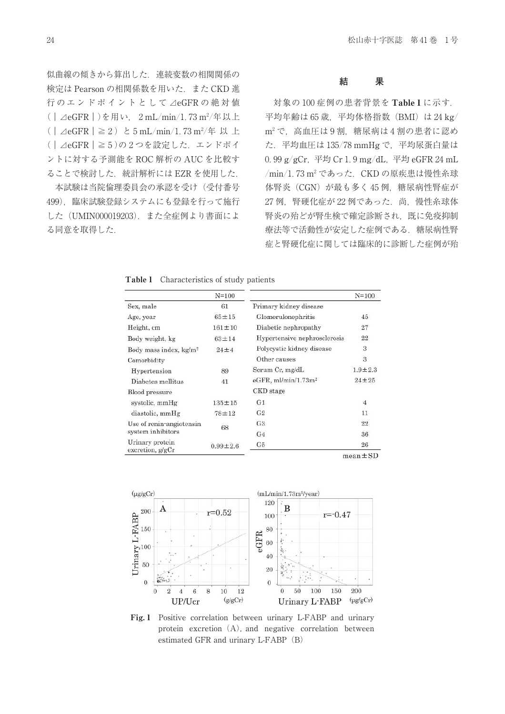似曲線の傾きから算出した.連続変数の相関関係の 検定は Pearson の相関係数を用いた.また CKD 進 行のエンド ポイントとして⊿eGFR の絶対値 (|⊿eGFR|)を用い,2mL/min/1.73m2/年以上 (|⊿eGFR|≧2)と5mL/min/1.73m2/年以上 (|⊿eGFR|≧5)の2つを設定した.エンドポイ ントに対する予測能を ROC 解析の AUC を比較す ることで検討した. 統計解析には EZR を使用した.

本試験は当院倫理委員会の承認を受け(受付番号 499),臨床試験登録システムにも登録を行って施行 した(UMIN000019203).また全症例より書面によ る同意を取得した.

#### **結 果**

対象の100症例の患者背景を Table1に示す. 平均年齢は65歳, 平均体格指数 (BMI) は 24 kg/ <sup>m</sup><sup>2</sup> で,高血圧は9割,糖尿病は4割の患者に認め た.平均血圧は135/78mmHg で,平均尿蛋白量は 0.99g/gCr,平均 Cr1.9mg/dL,平均 eGFR24mL /min/1.73m<sup>2</sup> であった.CKD の原疾患は慢性糸球体腎炎(CGN)が最も多く45例,糖尿病性腎症が 27例,腎硬化症が22例であった.尚,慢性糸球体 腎炎の殆どが腎生検で確定診断され,既に免疫抑制 療法等で活動性が安定した症例である. 糖尿病性腎 症と腎硬化症に関しては臨床的に診断した症例が殆

| Table 1 |  | Characteristics of study patients |  |  |  |  |
|---------|--|-----------------------------------|--|--|--|--|
|---------|--|-----------------------------------|--|--|--|--|

|                                     | $N = 100$      |                                    | $N = 100$      |
|-------------------------------------|----------------|------------------------------------|----------------|
| Sex, male                           | 61             | Primary kidney disease             |                |
| Age, year                           | $65 + 15$      | Glomerulonephritis                 | 45             |
| Height, cm                          | $161 \pm 10$   | Diabetic nephropathy               | 27             |
| Body weight, kg                     | $63 + 14$      | Hypertensive nephrosclerosis       | 22             |
| Body mass index, kg/m <sup>2</sup>  | $24 \pm 4$     | Polycystic kidney disease          | 3              |
| Comorbidity                         |                | Other causes                       | 3              |
| Hypertension                        | 89             | Serum Cr, mg/dL                    | $1.9 \pm 2.3$  |
| Diabetes mellitus                   | 41             | $e$ GFR, ml/min/1.73m <sup>2</sup> | $24 \pm 25$    |
| Blood pressure                      |                | CKD stage                          |                |
| systolic, mmHg                      | $135 \pm 15$   | G1                                 | $\overline{4}$ |
| diastolic, mmHg                     | $78 + 12$      | G <sub>2</sub>                     | 11             |
| Use of renin-angiotensin            | 68             | G <sub>3</sub>                     | 22             |
| system inhibitors                   |                | G <sub>4</sub>                     | 36             |
| Urinary protein<br>excretion, g/gCr | $0.99 \pm 2.6$ | G5                                 | 26             |

 $mean \pm SD$ 



Fig. 1 Positive correlation between urinary L-FABP and urinary protein excretion  $(A)$ , and negative correlation between estimated GFR and urinary L-FABP (B)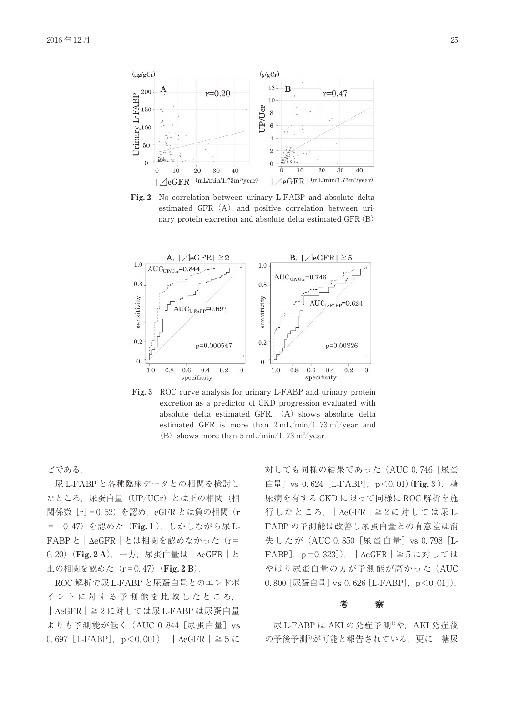

Fig. 2 No correlation between urinary L-FABP and absolute delta estimated GFR (A), and positive correlation between urinary protein excretion and absolute delta estimated GFR(B)



Fig. 3 ROC curve analysis for urinary L-FABP and urinary protein excretion as <sup>a</sup> predictor of CKD progression evaluated with absolute delta estimated GFR.  $(A)$  shows absolute delta estimated GFR is more than  $2 \text{ mL/min}/1.73 \text{ m}^2/\text{year}$  and (B) shows more than  $5 \text{ mL/min}/1.73 \text{ m}^2/\text{year}$ .

どである.

尿 L-FABP と各種臨床データとの相関を検討し たところ,尿蛋白量(UP/UCr)とは正の相関(相 関係数 [r] = 0.52) を認め, eGFR とは負の相関 (r =-0.47) を認めた (Fig. 1). しかしながら尿 L-FABP と | ΔeGFR | とは相関を認めなかった (r= 0.20)(Fig. 2 A).一方,尿蛋白量は|ΔeGFR|と 正の相関を認めた  $(r=0.47)$  (Fig. 2 B).

ROC 解析で尿 L-FABP と尿蛋白量とのエンドポ イントに対する予測能を比較したところ, |ΔeGFR|≧2に対しては尿 L-FABP は尿蛋白量 よりも予測能が低く (AUC 0.844 [尿蛋白量] vs 0.697 [L-FABP],  $p < 0.001$ ),  $\Delta$ eGFR  $\geq 5$ に

対しても同様の結果であった (AUC 0.746 [尿蛋 白量]vs 0.624 [L-FABP],  $p$ <0.01)(Fig. 3). 糖 尿病を有する CKD に限って同様に ROC 解析を施 行したところ,|ΔeGFR|≧2に対 し て は 尿 L-FABP の予測能は改善し尿蛋白量との有意差は消 失したが (AUC 0.850 [尿蛋白量] vs 0.798 [L-FABP],p=0.323]),|ΔeGFR|≧5に対しては やはり尿蛋白量の方が予測能が高かった(AUC 0.800 [尿蛋白量] vs 0.626 [L-FABP], p<0.01]).

#### **考 察**

尿 L-FABP は AKI の発症予測<sup>1)</sup>や, AKI 発症後 の予後予測5が可能と報告されている. 更に、糖尿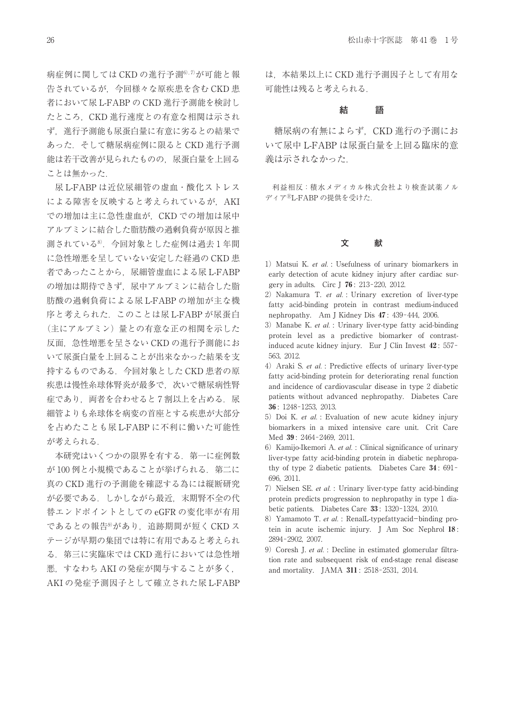病症例に関しては CKD の進行予測<sup>6),7)</sup>が可能と報 告されているが,今回様々な原疾患を含む CKD 患 者において尿 L-FABP の CKD 進行予測能を検討し たところ,CKD 進行速度との有意な相関は示され ず,進行予測能も尿蛋白量に有意に劣るとの結果で あった.そして糖尿病症例に限ると CKD 進行予測 能は若干改善が見られたものの,尿蛋白量を上回る ことは無かった.

尿 L-FABP は近位尿細管の虚血・酸化ストレス による障害を反映すると考えられているが、AKI での増加は主に急性虚血が,CKD での増加は尿中 アルブミンに結合した脂肪酸の過剰負荷が原因と推測されている8).今回対象とした症例は過去1年間 に急性増悪を呈していない安定した経過の CKD 患 者であったことから、尿細管虚血による尿 L-FABP の増加は期待できず,尿中アルブミンに結合した脂 肪酸の過剰負荷による尿 L-FABP の増加が主な機 序と考えられた.このことは尿 L-FABP が尿蛋白 (主にアルブミン)量との有意な正の相関を示した 反面,急性増悪を呈さない CKD の進行予測能にお いて尿蛋白量を上回ることが出来なかった結果を支持するものである. 今回対象とした CKD 患者の原 疾患は慢性糸球体腎炎が最多で、次いで糖尿病性腎 症であり、両者を合わせると7割以上を占める. 尿 細管よりも糸球体を病変の首座とする疾患が大部分を占めたことも尿 L-FABP に不利に働いた可能性 が考えられる.

本研究はいくつかの限界を有する. 第一に症例数 が100例と小規模であることが挙げられる.第二に 真の CKD 進行の予測能を確認する為には縦断研究 が必要である.しかしながら最近,末期腎不全の代 替エンドポイントとしての eGFR の変化率が有用 であるとの報告<sup>9)</sup>があり、追跡期間が短く CKD ス テージが早期の集団では特に有用であると考えられ る.第三に実臨床では CKD 進行においては急性増 悪,すなわち AKI の発症が関与することが多く, AKI の発症予測因子として確立された尿 L-FABP

は,本結果以上に CKD 進行予測因子として有用な 可能性は残ると考えられる.

#### **結 語**

糖尿病の有無によらず,CKD 進行の予測にお いて尿中 L-FABP は尿蛋白量を上回る臨床的意 義は示されなかった.

利益相反:積水メディカル株式会社より検査試薬ノルディアⓇL-FABP の提供を受けた.

# **文 献**

- 1) Matsui K. *et al.* : Usefulness of urinary biomarkers in early detection of acute kidney injury after cardiac surgery in adults. Circ J 76 : 213-220, 2012.
- 2) Nakamura T. *et al.* : Urinary excretion of liver-type fatty acid-binding protein in contrast medium-induced nephropathy. Am J Kidney Dis 47 : 439-444, 2006.
- 3)Manabe K. *et al.* : Urinary liver-type fatty acid-binding protein level as <sup>a</sup> predictive biomarker of contrastinduced acute kidney injury. Eur J Clin Invest 42 : 557- 563, 2012.
- 4) Araki S. *et al.* : Predictive effects of urinary liver-type fatty acid-binding protein for deteriorating renal function and incidence of cardiovascular disease in type 2 diabetic patients without advanced nephropathy. Diabetes Care 36 : 1248-1253, 2013.
- 5) Doi K. *et al.* : Evaluation of new acute kidney injury biomarkers in <sup>a</sup> mixed intensive care unit. Crit Care Med 39 : 2464-2469, 2011.
- 6)Kamijo-Ikemori A. *et al.* : Clinical significance of urinary liver-type fatty acid-binding protein in diabetic nephropathy of type 2 diabetic patients. Diabetes Care 34 : 691- 696, 2011.
- 7) Nielsen SE. *et al.* : Urinary liver-type fatty acid-binding protein predicts progression to nephropathy in type 1 diabetic patients. Diabetes Care 33 : 1320-1324, 2010.
- 8) Yamamoto T. *et al.* : RenalL-typefattyacid-binding protein in acute ischemic injury. J Am Soc Nephrol 18 : 2894-2902, 2007.
- 9) Coresh J. *et al.* : Decline in estimated glomerular filtration rate and subsequent risk of end-stage renal disease and mortality. JAMA 311 : 2518-2531, 2014.